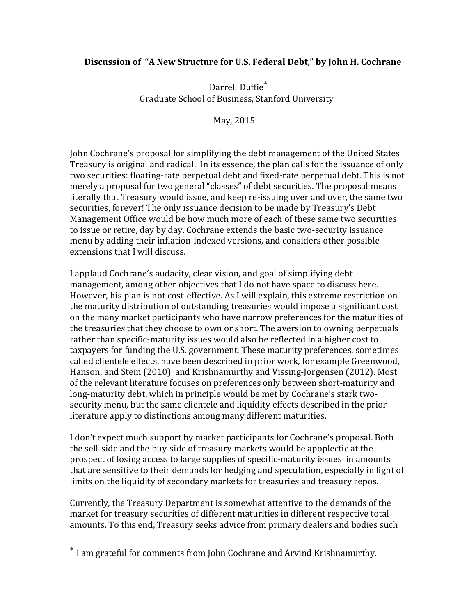## **Discussion of "A New Structure for U.S. Federal Debt," by John H. Cochrane**

Darrell Duffie<sup>\*</sup> Graduate School of Business, Stanford University

May, 2015

John Cochrane's proposal for simplifying the debt management of the United States Treasury is original and radical. In its essence, the plan calls for the issuance of only two securities: floating-rate perpetual debt and fixed-rate perpetual debt. This is not merely a proposal for two general "classes" of debt securities. The proposal means literally that Treasury would issue, and keep re-issuing over and over, the same two securities, forever! The only issuance decision to be made by Treasury's Debt Management Office would be how much more of each of these same two securities to issue or retire, day by day. Cochrane extends the basic two-security issuance menu by adding their inflation-indexed versions, and considers other possible extensions that I will discuss.

I applaud Cochrane's audacity, clear vision, and goal of simplifying debt management, among other objectives that I do not have space to discuss here. However, his plan is not cost-effective. As I will explain, this extreme restriction on the maturity distribution of outstanding treasuries would impose a significant cost on the many market participants who have narrow preferences for the maturities of the treasuries that they choose to own or short. The aversion to owning perpetuals rather than specific-maturity issues would also be reflected in a higher cost to taxpayers for funding the U.S. government. These maturity preferences, sometimes called clientele effects, have been described in prior work, for example Greenwood, Hanson, and Stein (2010) and Krishnamurthy and Vissing-Jorgensen (2012). Most of the relevant literature focuses on preferences only between short-maturity and long-maturity debt, which in principle would be met by Cochrane's stark twosecurity menu, but the same clientele and liquidity effects described in the prior literature apply to distinctions among many different maturities.

I don't expect much support by market participants for Cochrane's proposal. Both the sell-side and the buy-side of treasury markets would be apoplectic at the prospect of losing access to large supplies of specific-maturity issues in amounts that are sensitive to their demands for hedging and speculation, especially in light of limits on the liquidity of secondary markets for treasuries and treasury repos.

Currently, the Treasury Department is somewhat attentive to the demands of the market for treasury securities of different maturities in different respective total amounts. To this end, Treasury seeks advice from primary dealers and bodies such

 

 $*$  I am grateful for comments from John Cochrane and Arvind Krishnamurthy.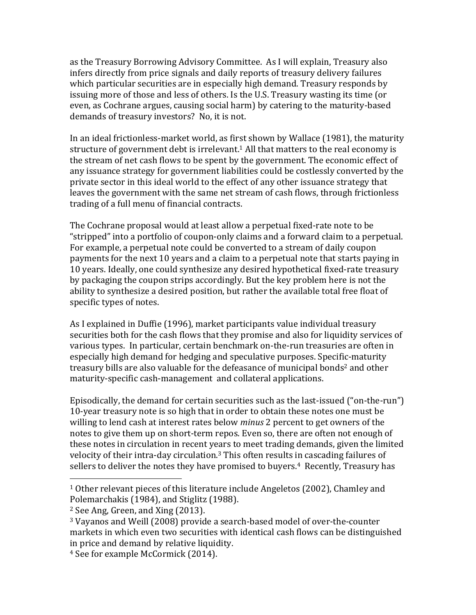as the Treasury Borrowing Advisory Committee. As I will explain, Treasury also infers directly from price signals and daily reports of treasury delivery failures which particular securities are in especially high demand. Treasury responds by issuing more of those and less of others. Is the U.S. Treasury wasting its time (or even, as Cochrane argues, causing social harm) by catering to the maturity-based demands of treasury investors? No, it is not.

In an ideal frictionless-market world, as first shown by Wallace (1981), the maturity structure of government debt is irrelevant.<sup>1</sup> All that matters to the real economy is the stream of net cash flows to be spent by the government. The economic effect of any issuance strategy for government liabilities could be costlessly converted by the private sector in this ideal world to the effect of any other issuance strategy that leaves the government with the same net stream of cash flows, through frictionless trading of a full menu of financial contracts.

The Cochrane proposal would at least allow a perpetual fixed-rate note to be "stripped" into a portfolio of coupon-only claims and a forward claim to a perpetual. For example, a perpetual note could be converted to a stream of daily coupon payments for the next 10 years and a claim to a perpetual note that starts paying in 10 years. Ideally, one could synthesize any desired hypothetical fixed-rate treasury by packaging the coupon strips accordingly. But the key problem here is not the ability to synthesize a desired position, but rather the available total free float of specific types of notes.

As I explained in Duffie (1996), market participants value individual treasury securities both for the cash flows that they promise and also for liquidity services of various types. In particular, certain benchmark on-the-run treasuries are often in especially high demand for hedging and speculative purposes. Specific-maturity treasury bills are also valuable for the defeasance of municipal bonds<sup>2</sup> and other maturity-specific cash-management and collateral applications.

Episodically, the demand for certain securities such as the last-issued ("on-the-run") 10-year treasury note is so high that in order to obtain these notes one must be willing to lend cash at interest rates below *minus* 2 percent to get owners of the notes to give them up on short-term repos. Even so, there are often not enough of these notes in circulation in recent years to meet trading demands, given the limited velocity of their intra-day circulation.<sup>3</sup> This often results in cascading failures of sellers to deliver the notes they have promised to buyers.<sup>4</sup> Recently, Treasury has

 

 $1$  Other relevant pieces of this literature include Angeletos (2002), Chamley and Polemarchakis (1984), and Stiglitz (1988).

 $2$  See Ang, Green, and Xing  $(2013)$ .

<sup>&</sup>lt;sup>3</sup> Vayanos and Weill (2008) provide a search-based model of over-the-counter markets in which even two securities with identical cash flows can be distinguished in price and demand by relative liquidity.

<sup>&</sup>lt;sup>4</sup> See for example McCormick (2014).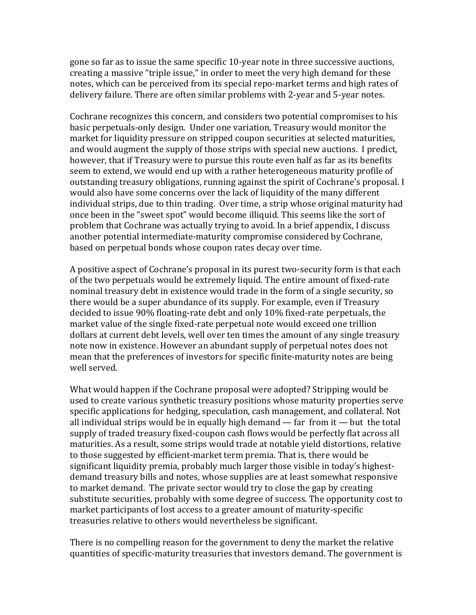gone so far as to issue the same specific 10-year note in three successive auctions, creating a massive "triple issue," in order to meet the very high demand for these notes, which can be perceived from its special repo-market terms and high rates of delivery failure. There are often similar problems with 2-year and 5-year notes.

Cochrane recognizes this concern, and considers two potential compromises to his basic perpetuals-only design. Under one variation, Treasury would monitor the market for liquidity pressure on stripped coupon securities at selected maturities, and would augment the supply of those strips with special new auctions. I predict, however, that if Treasury were to pursue this route even half as far as its benefits seem to extend, we would end up with a rather heterogeneous maturity profile of outstanding treasury obligations, running against the spirit of Cochrane's proposal. I would also have some concerns over the lack of liquidity of the many different individual strips, due to thin trading. Over time, a strip whose original maturity had once been in the "sweet spot" would become illiquid. This seems like the sort of problem that Cochrane was actually trying to avoid. In a brief appendix, I discuss another potential intermediate-maturity compromise considered by Cochrane, based on perpetual bonds whose coupon rates decay over time.

A positive aspect of Cochrane's proposal in its purest two-security form is that each of the two perpetuals would be extremely liquid. The entire amount of fixed-rate nominal treasury debt in existence would trade in the form of a single security, so there would be a super abundance of its supply. For example, even if Treasury decided to issue  $90\%$  floating-rate debt and only  $10\%$  fixed-rate perpetuals, the market value of the single fixed-rate perpetual note would exceed one trillion dollars at current debt levels, well over ten times the amount of any single treasury note now in existence. However an abundant supply of perpetual notes does not mean that the preferences of investors for specific finite-maturity notes are being well served.

What would happen if the Cochrane proposal were adopted? Stripping would be used to create various synthetic treasury positions whose maturity properties serve specific applications for hedging, speculation, cash management, and collateral. Not all individual strips would be in equally high demand — far from it — but the total supply of traded treasury fixed-coupon cash flows would be perfectly flat across all maturities. As a result, some strips would trade at notable yield distortions, relative to those suggested by efficient-market term premia. That is, there would be significant liquidity premia, probably much larger those visible in today's highestdemand treasury bills and notes, whose supplies are at least somewhat responsive to market demand. The private sector would try to close the gap by creating substitute securities, probably with some degree of success. The opportunity cost to market participants of lost access to a greater amount of maturity-specific treasuries relative to others would nevertheless be significant.

There is no compelling reason for the government to deny the market the relative quantities of specific-maturity treasuries that investors demand. The government is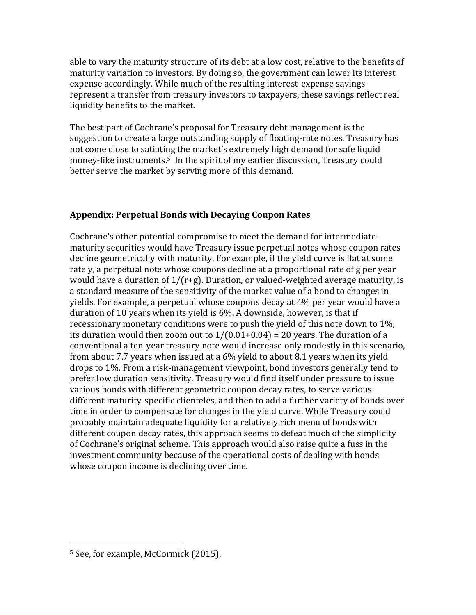able to vary the maturity structure of its debt at a low cost, relative to the benefits of maturity variation to investors. By doing so, the government can lower its interest expense accordingly. While much of the resulting interest-expense savings represent a transfer from treasury investors to taxpayers, these savings reflect real liquidity benefits to the market.

The best part of Cochrane's proposal for Treasury debt management is the suggestion to create a large outstanding supply of floating-rate notes. Treasury has not come close to satiating the market's extremely high demand for safe liquid money-like instruments.<sup>5</sup> In the spirit of my earlier discussion, Treasury could better serve the market by serving more of this demand.

## **Appendix: Perpetual Bonds with Decaying Coupon Rates**

Cochrane's other potential compromise to meet the demand for intermediatematurity securities would have Treasury issue perpetual notes whose coupon rates decline geometrically with maturity. For example, if the yield curve is flat at some rate y, a perpetual note whose coupons decline at a proportional rate of g per year would have a duration of  $1/(r+g)$ . Duration, or valued-weighted average maturity, is a standard measure of the sensitivity of the market value of a bond to changes in yields. For example, a perpetual whose coupons decay at 4% per year would have a duration of 10 years when its yield is  $6\%$ . A downside, however, is that if recessionary monetary conditions were to push the yield of this note down to  $1\%$ , its duration would then zoom out to  $1/(0.01+0.04) = 20$  years. The duration of a conventional a ten-year treasury note would increase only modestly in this scenario, from about 7.7 years when issued at a  $6\%$  yield to about 8.1 years when its yield drops to 1%. From a risk-management viewpoint, bond investors generally tend to prefer low duration sensitivity. Treasury would find itself under pressure to issue various bonds with different geometric coupon decay rates, to serve various different maturity-specific clienteles, and then to add a further variety of bonds over time in order to compensate for changes in the yield curve. While Treasury could probably maintain adequate liquidity for a relatively rich menu of bonds with different coupon decay rates, this approach seems to defeat much of the simplicity of Cochrane's original scheme. This approach would also raise quite a fuss in the investment community because of the operational costs of dealing with bonds whose coupon income is declining over time.

 

<sup>&</sup>lt;sup>5</sup> See, for example, McCormick (2015).